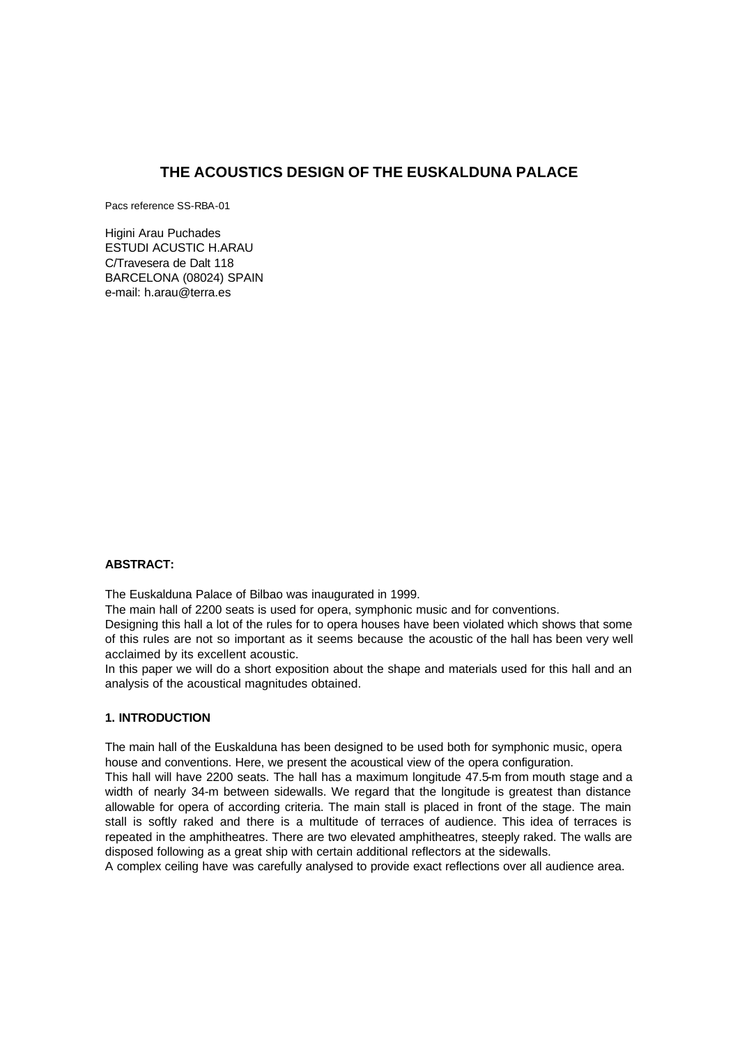# **THE ACOUSTICS DESIGN OF THE EUSKALDUNA PALACE**

Pacs reference SS-RBA-01

Higini Arau Puchades ESTUDI ACUSTIC H.ARAU C/Travesera de Dalt 118 BARCELONA (08024) SPAIN e-mail: h.arau@terra.es

#### **ABSTRACT:**

The Euskalduna Palace of Bilbao was inaugurated in 1999.

The main hall of 2200 seats is used for opera, symphonic music and for conventions.

Designing this hall a lot of the rules for to opera houses have been violated which shows that some of this rules are not so important as it seems because the acoustic of the hall has been very well acclaimed by its excellent acoustic.

In this paper we will do a short exposition about the shape and materials used for this hall and an analysis of the acoustical magnitudes obtained.

# **1. INTRODUCTION**

The main hall of the Euskalduna has been designed to be used both for symphonic music, opera house and conventions. Here, we present the acoustical view of the opera configuration.

This hall will have 2200 seats. The hall has a maximum longitude 47.5-m from mouth stage and a width of nearly 34-m between sidewalls. We regard that the longitude is greatest than distance allowable for opera of according criteria. The main stall is placed in front of the stage. The main stall is softly raked and there is a multitude of terraces of audience. This idea of terraces is repeated in the amphitheatres. There are two elevated amphitheatres, steeply raked. The walls are disposed following as a great ship with certain additional reflectors at the sidewalls.

A complex ceiling have was carefully analysed to provide exact reflections over all audience area.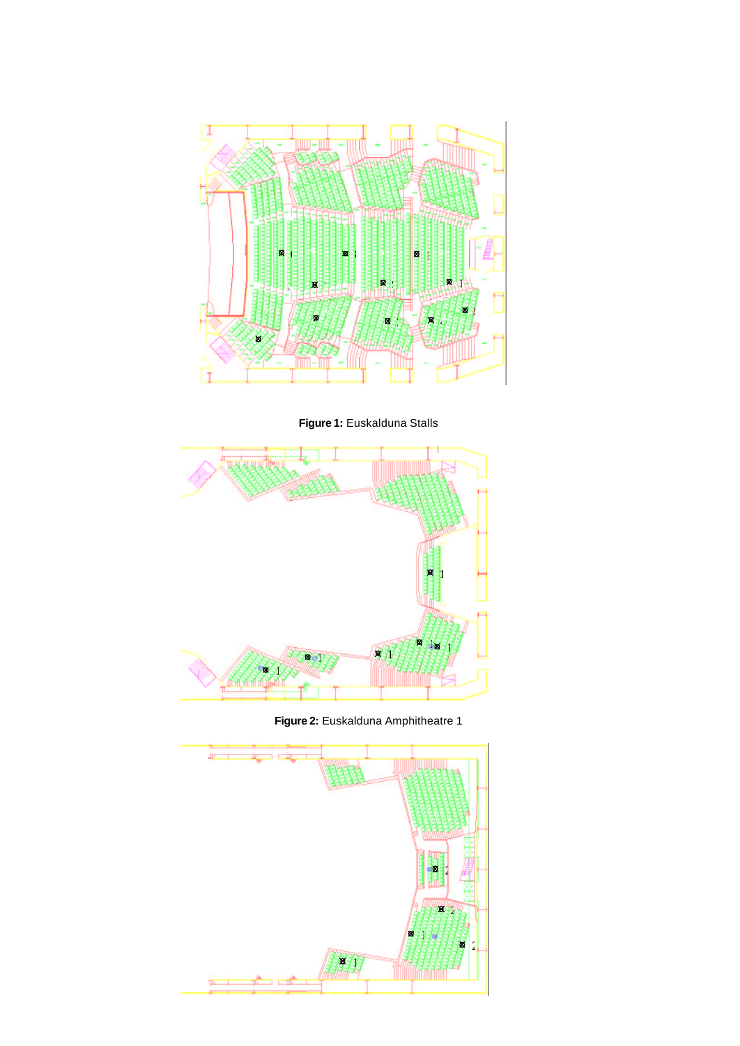

**Figure 1:** Euskalduna Stalls



**Figure 2:** Euskalduna Amphitheatre 1

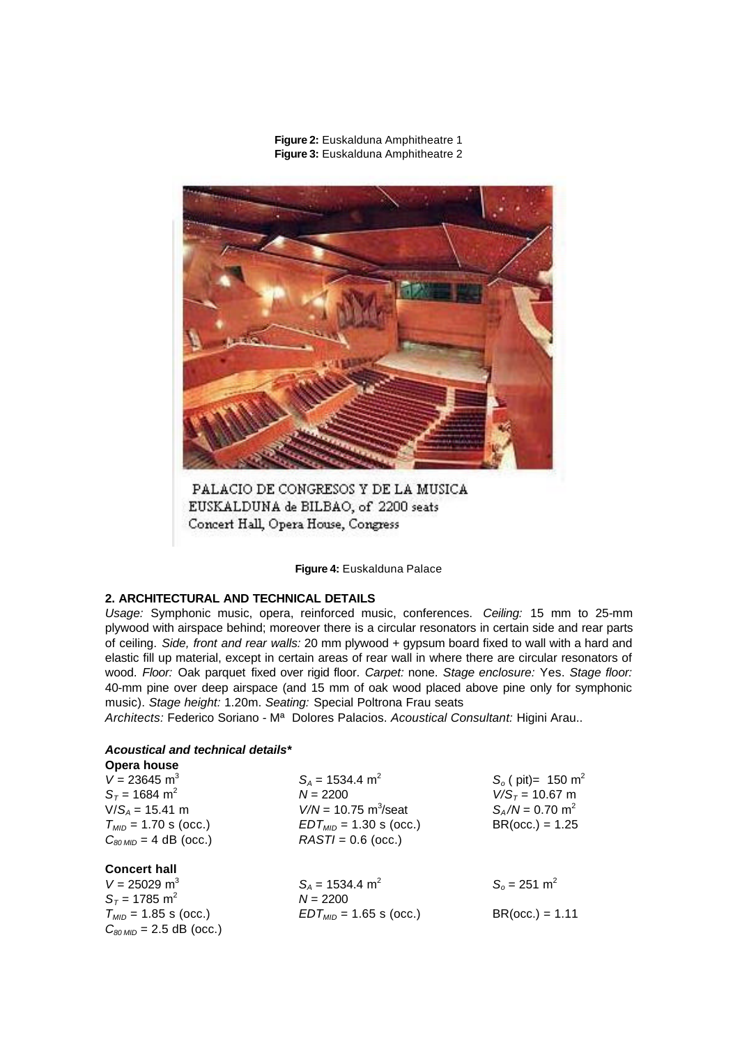

**Figure 2:** Euskalduna Amphitheatre 1 **Figure 3:** Euskalduna Amphitheatre 2

PALACIO DE CONGRESOS Y DE LA MUSICA EUSKALDUNA de BILBAO, of 2200 seats Concert Hall, Opera House, Congress

**Figure 4:** Euskalduna Palace

### **2. ARCHITECTURAL AND TECHNICAL DETAILS**

*Usage:* Symphonic music, opera, reinforced music, conferences. *Ceiling:* 15 mm to 25-mm plywood with airspace behind; moreover there is a circular resonators in certain side and rear parts of ceiling. *Side, front and rear walls:* 20 mm plywood + gypsum board fixed to wall with a hard and elastic fill up material, except in certain areas of rear wall in where there are circular resonators of wood. *Floor:* Oak parquet fixed over rigid floor. *Carpet:* none. *Stage enclosure:* Yes. *Stage floor:* 40-mm pine over deep airspace (and 15 mm of oak wood placed above pine only for symphonic music). *Stage height:* 1.20m. *Seating:* Special Poltrona Frau seats

*Architects:* Federico Soriano - Mª Dolores Palacios. *Acoustical Consultant:* Higini Arau..

#### *Acoustical and technical details\** **Opera house**

| $V = 23645$ m <sup>3</sup><br>$S_T$ = 1684 m <sup>2</sup><br>$V/S_A = 15.41$ m<br>$T_{MID}$ = 1.70 s (occ.)<br>$C_{80 MID} = 4$ dB (occ.) | $S_A$ = 1534.4 m <sup>2</sup><br>$N = 2200$<br>$V/N = 10.75$ m <sup>3</sup> /seat<br>$EDT_{MID}$ = 1.30 s (occ.)<br>$RASTI = 0.6$ (occ.) | $S_0$ ( pit)= 150 m <sup>2</sup><br>$V/S_T = 10.67$ m<br>$S_A/N = 0.70$ m <sup>2</sup><br>$BR(occ.) = 1.25$ |  |  |
|-------------------------------------------------------------------------------------------------------------------------------------------|------------------------------------------------------------------------------------------------------------------------------------------|-------------------------------------------------------------------------------------------------------------|--|--|
| <b>Concert hall</b><br>$V = 25029$ m <sup>3</sup>                                                                                         | $S_A$ = 1534.4 m <sup>2</sup>                                                                                                            | $S_0 = 251$ m <sup>2</sup>                                                                                  |  |  |
| $S_T$ = 1785 m <sup>2</sup><br>$T_{MID}$ = 1.85 s (occ.)<br>$C_{80 \, MID}$ = 2.5 dB (occ.)                                               | $N = 2200$<br>$EDT_{MID}$ = 1.65 s (occ.)                                                                                                | $BR(occ.) = 1.11$                                                                                           |  |  |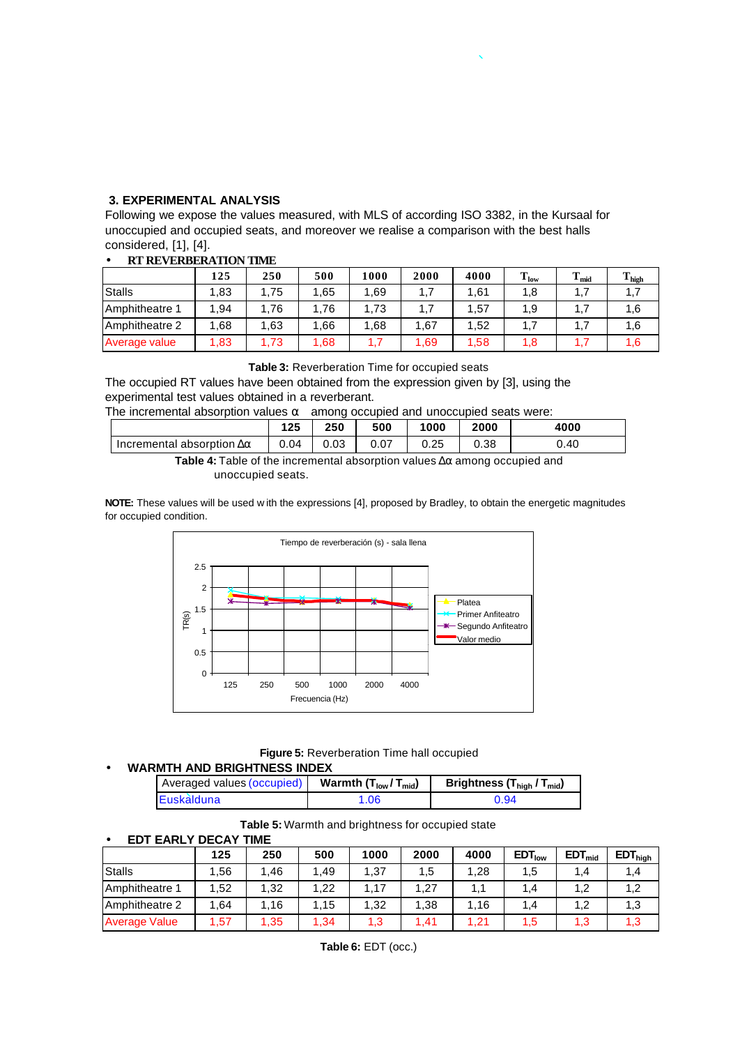# **3. EXPERIMENTAL ANALYSIS**

Following we expose the values measured, with MLS of according ISO 3382, in the Kursaal for unoccupied and occupied seats, and moreover we realise a comparison with the best halls considered, [1], [4].

| М. КЕТЕКВЕКА ПОВ ПІДЕ |       |      |      |      |      |      |           |             |                   |
|-----------------------|-------|------|------|------|------|------|-----------|-------------|-------------------|
|                       | 125   | 250  | 500  | 1000 | 2000 | 4000 | $T_{low}$ | m.<br>1 mid | $T_{\text{high}}$ |
| <b>Stalls</b>         | 1.83  | .75  | .65  | 1.69 | 1,7  | 1.61 | 1,8       |             | 1,7               |
| Amphitheatre 1        | 1.94  | .76  | .76  | 1.73 | 1,7  | 1,57 | 1.9       |             | 1,6               |
| Amphitheatre 2        | 68. ا | 1,63 | .66  | 1.68 | 1.67 | 1.52 |           |             | 1,6               |
| Average value         | 1.83  | .73  | 1,68 | 1.7  | 1,69 | 1.58 | 1.8       |             | 6،،               |

### • **RT REVERBERATION TIME**

**Table 3:** Reverberation Time for occupied seats

The occupied RT values have been obtained from the expression given by [3], using the experimental test values obtained in a reverberant.

| The incremental absorption values $\alpha$ among occupied and unoccupied seats were: |  |
|--------------------------------------------------------------------------------------|--|
|                                                                                      |  |

|                                       | ィクド<br>. 2J | 250  | 500  | 1000 | 2000 | 4000 |
|---------------------------------------|-------------|------|------|------|------|------|
| Incremental absorption $\Delta\alpha$ | 0.04        | 0.03 | 0.07 | 0.25 | 0.38 | 0.40 |
|                                       |             |      |      |      |      |      |

**Table 4:** Table of the incremental absorption values Δα among occupied and unoccupied seats.

**NOTE:** These values will be used w ith the expressions [4], proposed by Bradley, to obtain the energetic magnitudes for occupied condition.



**Figure 5:** Reverberation Time hall occupied

#### • **WARMTH AND BRIGHTNESS INDEX**

| Averaged values (occupied) | Warmth $(T_{low}/T_{mid})$ | Brightness $(T_{\text{hid}} / T_{\text{mid}})$ |
|----------------------------|----------------------------|------------------------------------------------|
| Euskalduna                 | 1.06                       | 0.94                                           |

**Table 5:** Warmth and brightness for occupied state

#### **EDT EARLY DECAY TIME**

|                      | 125  | 250 | 500 | 1000 | 2000 | 4000    | EDT <sub>low</sub> | EDT <sub>mid</sub> | EDT <sub>high</sub> |
|----------------------|------|-----|-----|------|------|---------|--------------------|--------------------|---------------------|
| <b>Stalls</b>        | 1.56 | .46 | .49 | 1,37 | 1,5  | 1,28    | 1,5                | 1,4                | 1,4                 |
| Amphitheatre 1       | 1.52 | .32 | .22 | .17  | .27  |         | 1.4                |                    | 1,2                 |
| Amphitheatre 2       | 1.64 | .16 | .15 | 1,32 | .38  | . 16. ، | 1.4                | 1.2                | 1,3                 |
| <b>Average Value</b> | 1,57 | .35 | 34  | 1.3  | .41  | 1.21    | 1,5                | 1,3                | 3. ا                |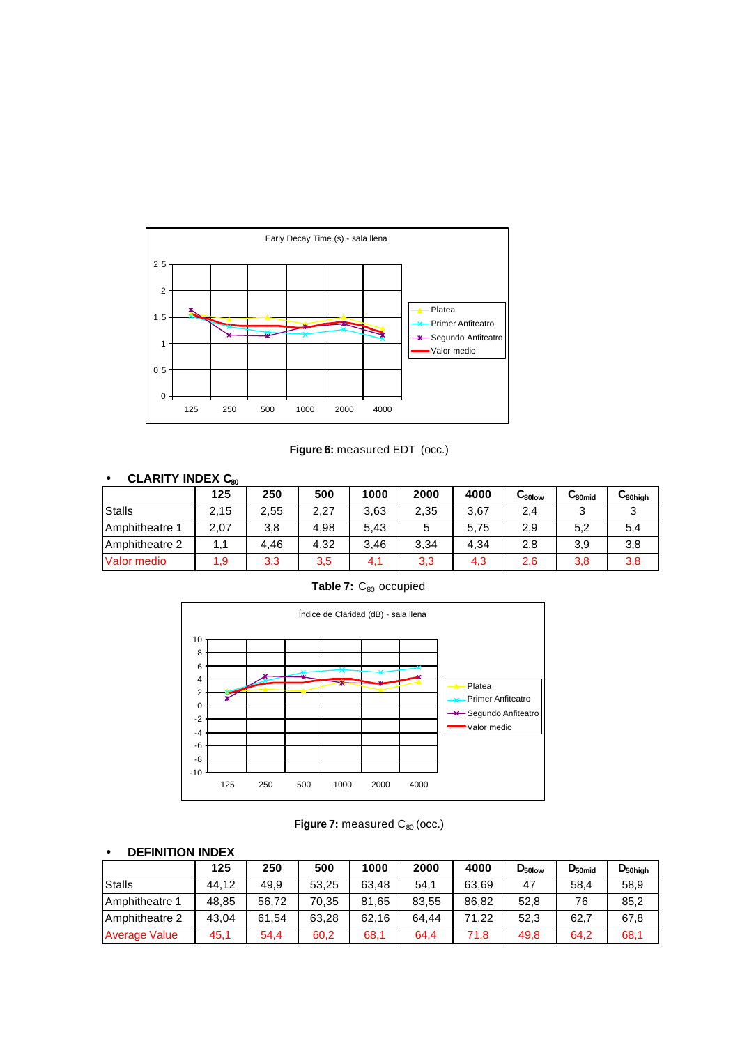

Figure 6: measured EDT (occ.)

# • **CLARITY INDEX C<sup>80</sup>**

|                | 125  | 250  | 500  | 1000 | 2000 | 4000 | ∪ <sub>80low</sub> | ا‱ب | سا80high |
|----------------|------|------|------|------|------|------|--------------------|-----|----------|
| <b>Stalls</b>  | 2.15 | 2,55 | 2,27 | 3.63 | 2,35 | 3.67 | 2,4                | ≏   |          |
| Amphitheatre 1 | 2,07 | 3,8  | 4.98 | 5.43 |      | 5.75 | 2,9                | 5,2 | 5,4      |
| Amphitheatre 2 | 1,1  | 4.46 | 4.32 | 3.46 | 3,34 | 4.34 | 2,8                | 3,9 | 3,8      |
| Valor medio    | 1.9  | 3,3  | 3,5  | 4.   | 3,3  | 4,3  | 2,6                | 3,8 | 3,8      |

Table 7: C<sub>80</sub> occupied



Figure 7: measured C<sub>80</sub> (occ.)

| <b>DEFINITION INDEX</b><br>$\bullet$ |       |       |       |       |       |       |                    |             |              |
|--------------------------------------|-------|-------|-------|-------|-------|-------|--------------------|-------------|--------------|
|                                      | 125   | 250   | 500   | 1000  | 2000  | 4000  | $D_{50\text{low}}$ | $D_{50mid}$ | $D_{50high}$ |
| <b>Stalls</b>                        | 44.12 | 49,9  | 53.25 | 63.48 | 54,1  | 63.69 | 47                 | 58.4        | 58,9         |
| Amphitheatre 1                       | 48.85 | 56.72 | 70.35 | 81.65 | 83,55 | 86.82 | 52,8               | 76          | 85,2         |
| Amphitheatre 2                       | 43.04 | 61.54 | 63,28 | 62.16 | 64.44 | 71.22 | 52,3               | 62.7        | 67,8         |
| <b>Average Value</b>                 | 45,1  | 54,4  | 60,2  | 68,1  | 64,4  | 71,8  | 49,8               | 64.2        | 68,1         |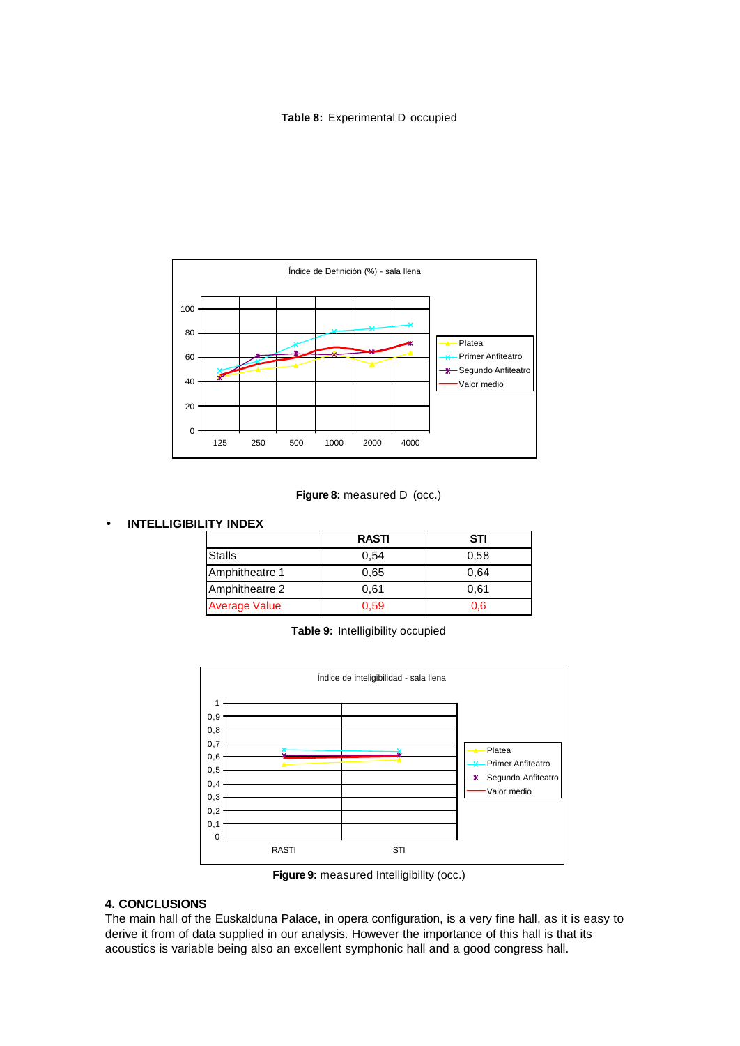#### **Table 8:** Experimental D occupied



#### Figure 8: measured D (occ.)

### • **INTELLIGIBILITY INDEX**

|                      | <b>RASTI</b> | <b>STI</b> |
|----------------------|--------------|------------|
| <b>Stalls</b>        | 0,54         | 0,58       |
| Amphitheatre 1       | 0.65         | 0.64       |
| Amphitheatre 2       | 0.61         | 0.61       |
| <b>Average Value</b> | 0.59         | 0.6        |

**Table 9:** Intelligibility occupied



**Figure 9:** measured Intelligibility (occ.)

### **4. CONCLUSIONS**

The main hall of the Euskalduna Palace, in opera configuration, is a very fine hall, as it is easy to derive it from of data supplied in our analysis. However the importance of this hall is that its acoustics is variable being also an excellent symphonic hall and a good congress hall.